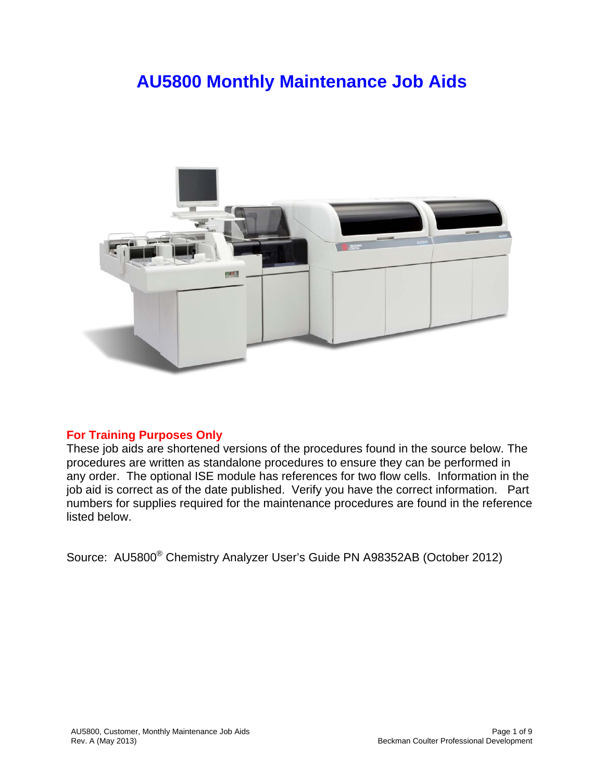## **AU5800 Monthly Maintenance Job Aids**



## **For Training Purposes Only**

These job aids are shortened versions of the procedures found in the source below. The procedures are written as standalone procedures to ensure they can be performed in any order. The optional ISE module has references for two flow cells. Information in the job aid is correct as of the date published. Verify you have the correct information. Part numbers for supplies required for the maintenance procedures are found in the reference listed below.

Source: AU5800® Chemistry Analyzer User's Guide PN A98352AB (October 2012)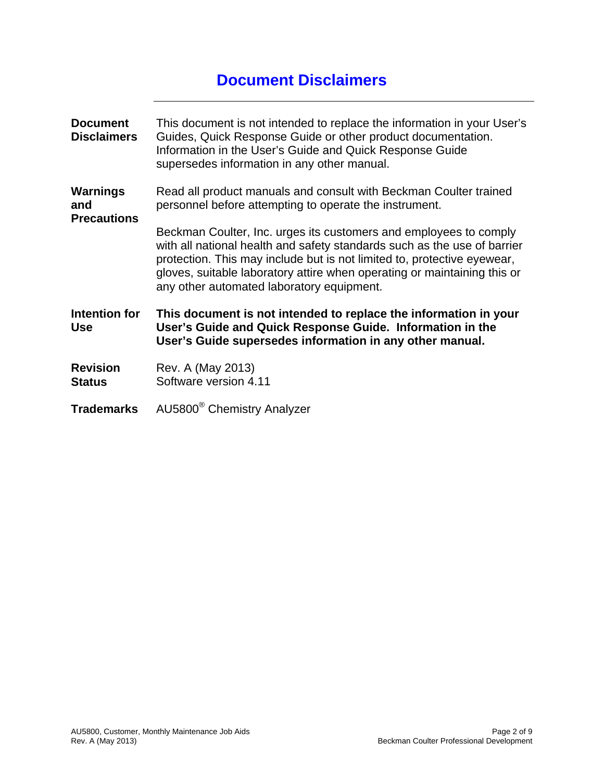## **Document Disclaimers**

| <b>Document</b><br><b>Disclaimers</b> | This document is not intended to replace the information in your User's<br>Guides, Quick Response Guide or other product documentation.<br>Information in the User's Guide and Quick Response Guide<br>supersedes information in any other manual.                                                                                                |
|---------------------------------------|---------------------------------------------------------------------------------------------------------------------------------------------------------------------------------------------------------------------------------------------------------------------------------------------------------------------------------------------------|
| Warnings<br>and<br><b>Precautions</b> | Read all product manuals and consult with Beckman Coulter trained<br>personnel before attempting to operate the instrument.                                                                                                                                                                                                                       |
|                                       | Beckman Coulter, Inc. urges its customers and employees to comply<br>with all national health and safety standards such as the use of barrier<br>protection. This may include but is not limited to, protective eyewear,<br>gloves, suitable laboratory attire when operating or maintaining this or<br>any other automated laboratory equipment. |
| Intention for<br><b>Use</b>           | This document is not intended to replace the information in your<br>User's Guide and Quick Response Guide. Information in the<br>User's Guide supersedes information in any other manual.                                                                                                                                                         |
| <b>Revision</b><br><b>Status</b>      | Rev. A (May 2013)<br>Software version 4.11                                                                                                                                                                                                                                                                                                        |
| <b>Trademarks</b>                     | AU5800 <sup>®</sup> Chemistry Analyzer                                                                                                                                                                                                                                                                                                            |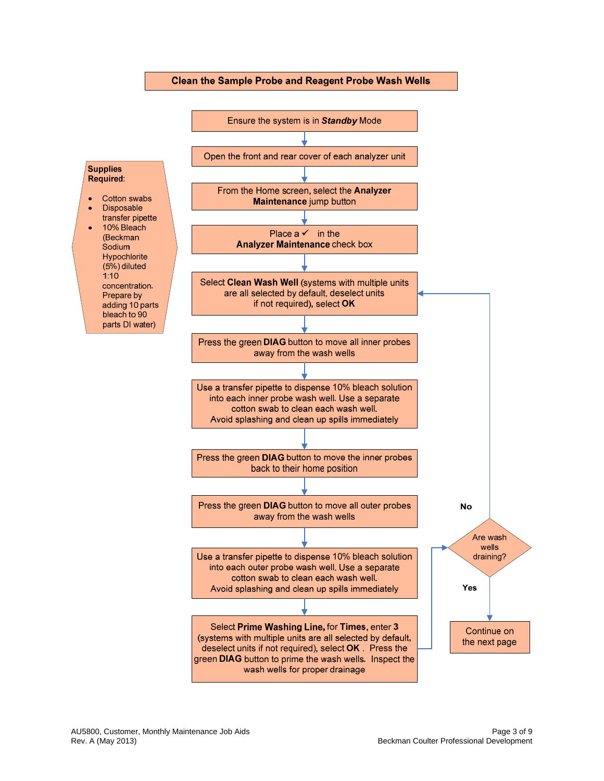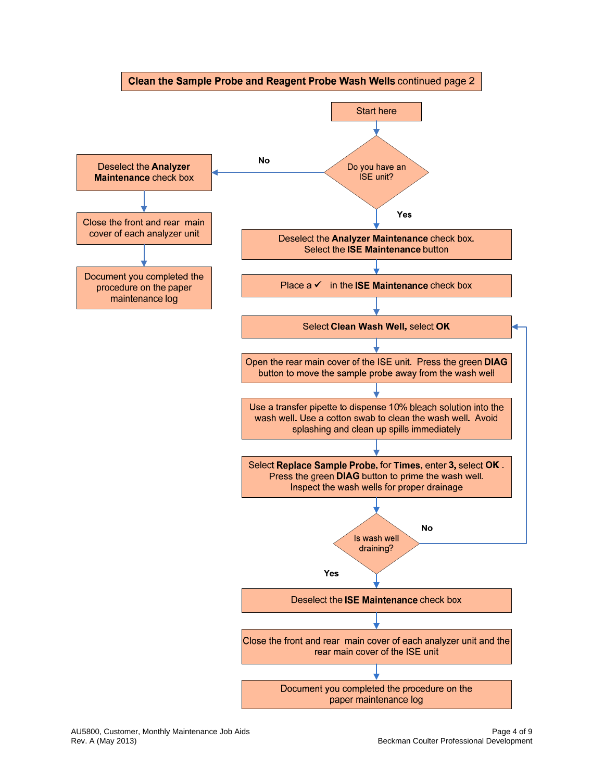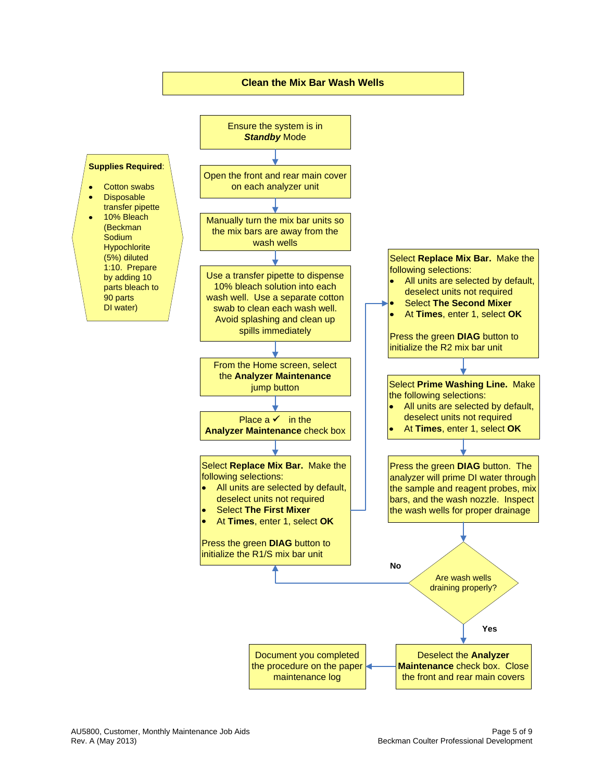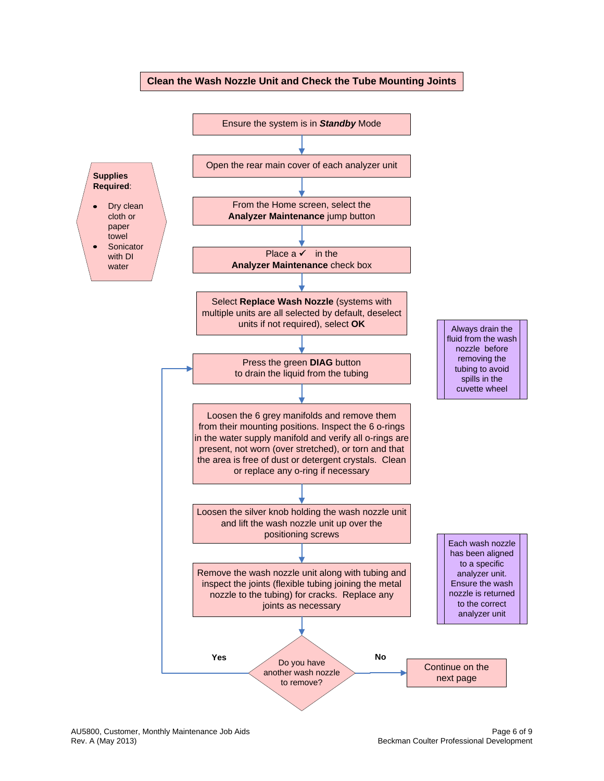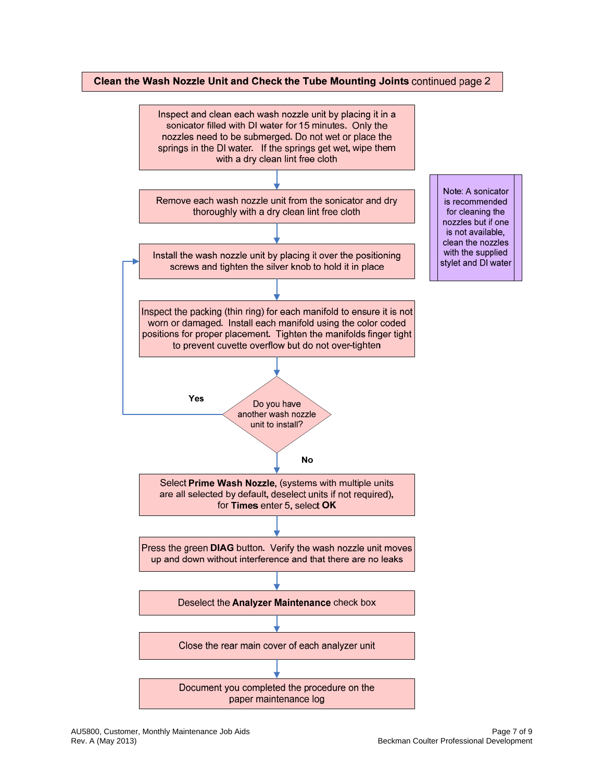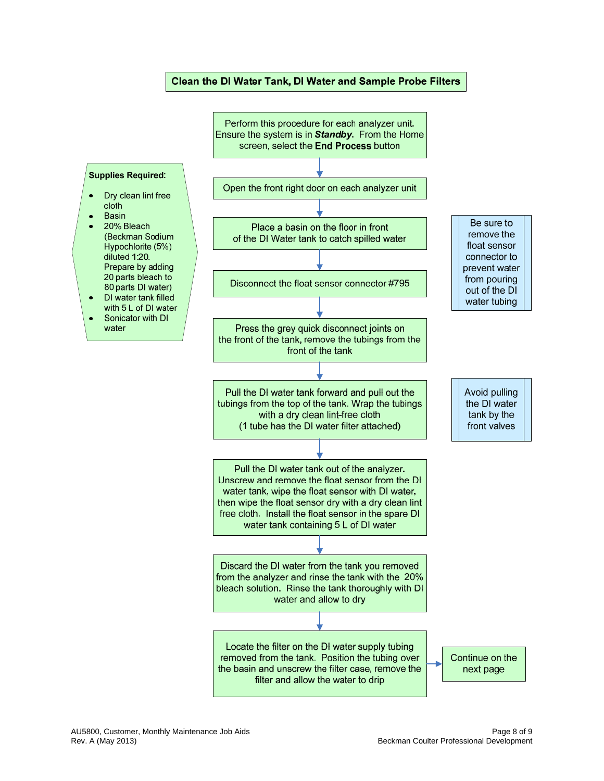## Clean the DI Water Tank, DI Water and Sample Probe Filters